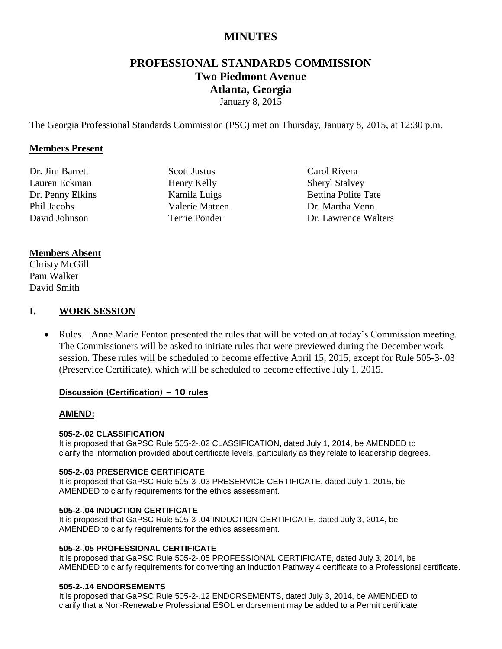## **MINUTES**

# **PROFESSIONAL STANDARDS COMMISSION Two Piedmont Avenue Atlanta, Georgia**

January 8, 2015

The Georgia Professional Standards Commission (PSC) met on Thursday, January 8, 2015, at 12:30 p.m.

#### **Members Present**

Dr. Jim Barrett Lauren Eckman Dr. Penny Elkins Phil Jacobs David Johnson

Scott Justus Henry Kelly Kamila Luigs Valerie Mateen Terrie Ponder

Carol Rivera Sheryl Stalvey Bettina Polite Tate Dr. Martha Venn Dr. Lawrence Walters

#### **Members Absent**

Christy McGill Pam Walker David Smith

#### **I. WORK SESSION**

• Rules – Anne Marie Fenton presented the rules that will be voted on at today's Commission meeting. The Commissioners will be asked to initiate rules that were previewed during the December work session. These rules will be scheduled to become effective April 15, 2015, except for Rule 505-3-.03 (Preservice Certificate), which will be scheduled to become effective July 1, 2015.

#### **Discussion (Certification) – 10 rules**

#### **AMEND:**

#### **505-2-.02 CLASSIFICATION**

It is proposed that GaPSC Rule 505-2-.02 CLASSIFICATION, dated July 1, 2014, be AMENDED to clarify the information provided about certificate levels, particularly as they relate to leadership degrees.

#### **505-2-.03 PRESERVICE CERTIFICATE**

It is proposed that GaPSC Rule 505-3-.03 PRESERVICE CERTIFICATE, dated July 1, 2015, be AMENDED to clarify requirements for the ethics assessment.

#### **505-2-.04 INDUCTION CERTIFICATE**

It is proposed that GaPSC Rule 505-3-.04 INDUCTION CERTIFICATE, dated July 3, 2014, be AMENDED to clarify requirements for the ethics assessment.

#### **505-2-.05 PROFESSIONAL CERTIFICATE**

It is proposed that GaPSC Rule 505-2-.05 PROFESSIONAL CERTIFICATE, dated July 3, 2014, be AMENDED to clarify requirements for converting an Induction Pathway 4 certificate to a Professional certificate.

#### **505-2-.14 ENDORSEMENTS**

It is proposed that GaPSC Rule 505-2-.12 ENDORSEMENTS, dated July 3, 2014, be AMENDED to clarify that a Non-Renewable Professional ESOL endorsement may be added to a Permit certificate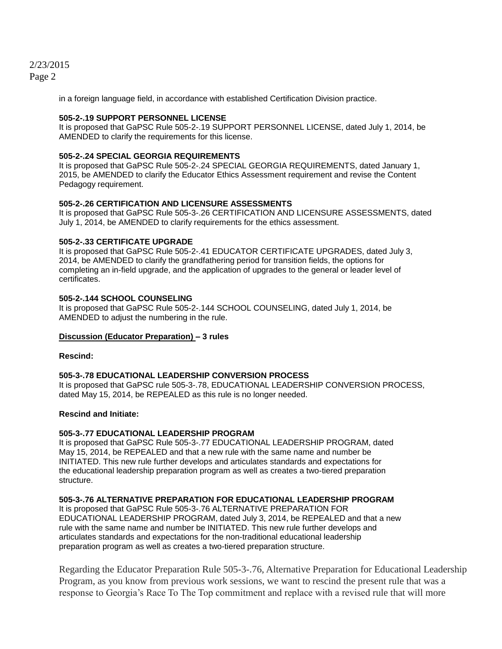in a foreign language field, in accordance with established Certification Division practice.

#### **505-2-.19 SUPPORT PERSONNEL LICENSE**

It is proposed that GaPSC Rule 505-2-.19 SUPPORT PERSONNEL LICENSE, dated July 1, 2014, be AMENDED to clarify the requirements for this license.

#### **505-2-.24 SPECIAL GEORGIA REQUIREMENTS**

It is proposed that GaPSC Rule 505-2-.24 SPECIAL GEORGIA REQUIREMENTS, dated January 1, 2015, be AMENDED to clarify the Educator Ethics Assessment requirement and revise the Content Pedagogy requirement.

#### **505-2-.26 CERTIFICATION AND LICENSURE ASSESSMENTS**

It is proposed that GaPSC Rule 505-3-.26 CERTIFICATION AND LICENSURE ASSESSMENTS, dated July 1, 2014, be AMENDED to clarify requirements for the ethics assessment.

#### **505-2-.33 CERTIFICATE UPGRADE**

It is proposed that GaPSC Rule 505-2-.41 EDUCATOR CERTIFICATE UPGRADES, dated July 3, 2014, be AMENDED to clarify the grandfathering period for transition fields, the options for completing an in-field upgrade, and the application of upgrades to the general or leader level of certificates.

#### **505-2-.144 SCHOOL COUNSELING**

It is proposed that GaPSC Rule 505-2-.144 SCHOOL COUNSELING, dated July 1, 2014, be AMENDED to adjust the numbering in the rule.

#### **Discussion (Educator Preparation) – 3 rules**

#### **Rescind:**

#### **505-3-.78 EDUCATIONAL LEADERSHIP CONVERSION PROCESS**

It is proposed that GaPSC rule 505-3-.78, EDUCATIONAL LEADERSHIP CONVERSION PROCESS, dated May 15, 2014, be REPEALED as this rule is no longer needed.

#### **Rescind and Initiate:**

#### **505-3-.77 EDUCATIONAL LEADERSHIP PROGRAM**

It is proposed that GaPSC Rule 505-3-.77 EDUCATIONAL LEADERSHIP PROGRAM, dated May 15, 2014, be REPEALED and that a new rule with the same name and number be INITIATED. This new rule further develops and articulates standards and expectations for the educational leadership preparation program as well as creates a two-tiered preparation structure.

#### **505-3-.76 ALTERNATIVE PREPARATION FOR EDUCATIONAL LEADERSHIP PROGRAM**

It is proposed that GaPSC Rule 505-3-.76 ALTERNATIVE PREPARATION FOR EDUCATIONAL LEADERSHIP PROGRAM, dated July 3, 2014, be REPEALED and that a new rule with the same name and number be INITIATED. This new rule further develops and articulates standards and expectations for the non-traditional educational leadership preparation program as well as creates a two-tiered preparation structure.

Regarding the Educator Preparation Rule 505-3-.76, Alternative Preparation for Educational Leadership Program, as you know from previous work sessions, we want to rescind the present rule that was a response to Georgia's Race To The Top commitment and replace with a revised rule that will more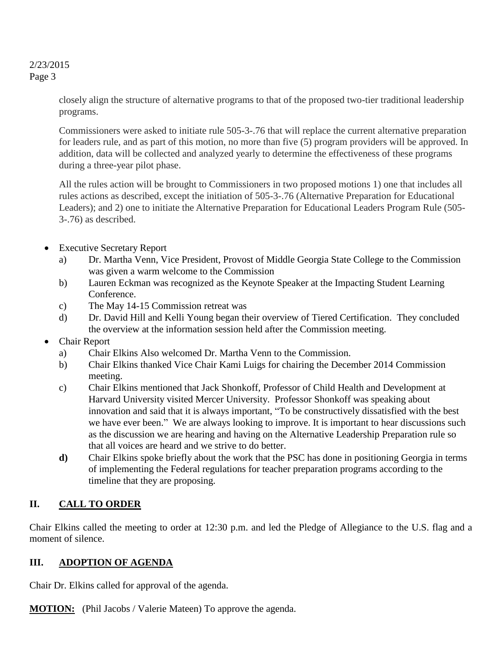> closely align the structure of alternative programs to that of the proposed two-tier traditional leadership programs.

> Commissioners were asked to initiate rule 505-3-.76 that will replace the current alternative preparation for leaders rule, and as part of this motion, no more than five (5) program providers will be approved. In addition, data will be collected and analyzed yearly to determine the effectiveness of these programs during a three-year pilot phase.

> All the rules action will be brought to Commissioners in two proposed motions 1) one that includes all rules actions as described, except the initiation of 505-3-.76 (Alternative Preparation for Educational Leaders); and 2) one to initiate the Alternative Preparation for Educational Leaders Program Rule (505- 3-.76) as described.

- Executive Secretary Report
	- a) Dr. Martha Venn, Vice President, Provost of Middle Georgia State College to the Commission was given a warm welcome to the Commission
	- b) Lauren Eckman was recognized as the Keynote Speaker at the Impacting Student Learning Conference.
	- c) The May 14-15 Commission retreat was
	- d) Dr. David Hill and Kelli Young began their overview of Tiered Certification. They concluded the overview at the information session held after the Commission meeting.
- Chair Report
	- a) Chair Elkins Also welcomed Dr. Martha Venn to the Commission.
	- b) Chair Elkins thanked Vice Chair Kami Luigs for chairing the December 2014 Commission meeting.
	- c) Chair Elkins mentioned that Jack Shonkoff, Professor of Child Health and Development at Harvard University visited Mercer University. Professor Shonkoff was speaking about innovation and said that it is always important, "To be constructively dissatisfied with the best we have ever been." We are always looking to improve. It is important to hear discussions such as the discussion we are hearing and having on the Alternative Leadership Preparation rule so that all voices are heard and we strive to do better.
	- **d)** Chair Elkins spoke briefly about the work that the PSC has done in positioning Georgia in terms of implementing the Federal regulations for teacher preparation programs according to the timeline that they are proposing.

## **II. CALL TO ORDER**

Chair Elkins called the meeting to order at 12:30 p.m. and led the Pledge of Allegiance to the U.S. flag and a moment of silence.

## **III. ADOPTION OF AGENDA**

Chair Dr. Elkins called for approval of the agenda.

**MOTION:** (Phil Jacobs / Valerie Mateen) To approve the agenda.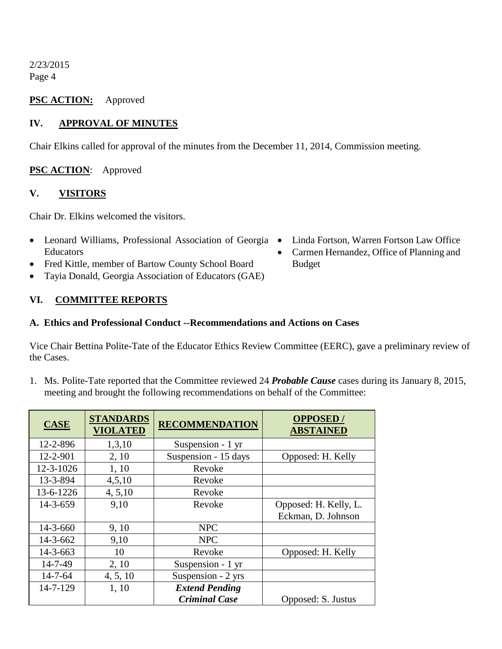### **PSC ACTION:** Approved

## **IV. APPROVAL OF MINUTES**

Chair Elkins called for approval of the minutes from the December 11, 2014, Commission meeting.

## **PSC ACTION**: Approved

### **V. VISITORS**

Chair Dr. Elkins welcomed the visitors.

- Leonard Williams, Professional Association of Georgia Educators
- Fred Kittle, member of Bartow County School Board
- Tayia Donald, Georgia Association of Educators (GAE)

## **VI. COMMITTEE REPORTS**

#### **A. Ethics and Professional Conduct --Recommendations and Actions on Cases**

Vice Chair Bettina Polite-Tate of the Educator Ethics Review Committee (EERC), gave a preliminary review of the Cases.

1. Ms. Polite-Tate reported that the Committee reviewed 24 *Probable Cause* cases during its January 8, 2015, meeting and brought the following recommendations on behalf of the Committee:

| <b>CASE</b>    | <b>STANDARDS</b><br><b>VIOLATED</b> | <b>RECOMMENDATION</b> | <b>OPPOSED/</b><br><b>ABSTAINED</b>         |
|----------------|-------------------------------------|-----------------------|---------------------------------------------|
| 12-2-896       | 1,3,10                              | Suspension - 1 yr     |                                             |
| 12-2-901       | 2, 10                               | Suspension - 15 days  | Opposed: H. Kelly                           |
| 12-3-1026      | 1, 10                               | Revoke                |                                             |
| 13-3-894       | 4,5,10                              | Revoke                |                                             |
| 13-6-1226      | 4, 5, 10                            | Revoke                |                                             |
| 14-3-659       | 9,10                                | Revoke                | Opposed: H. Kelly, L.<br>Eckman, D. Johnson |
| $14 - 3 - 660$ | 9, 10                               | <b>NPC</b>            |                                             |
| $14 - 3 - 662$ | 9,10                                | <b>NPC</b>            |                                             |
| $14 - 3 - 663$ | 10                                  | Revoke                | Opposed: H. Kelly                           |
| 14-7-49        | 2, 10                               | Suspension - 1 yr     |                                             |
| $14 - 7 - 64$  | 4, 5, 10                            | Suspension - 2 yrs    |                                             |
| 14-7-129       | 1, 10                               | <b>Extend Pending</b> |                                             |
|                |                                     | <b>Criminal Case</b>  | Opposed: S. Justus                          |

- Linda Fortson, Warren Fortson Law Office
- Carmen Hernandez, Office of Planning and Budget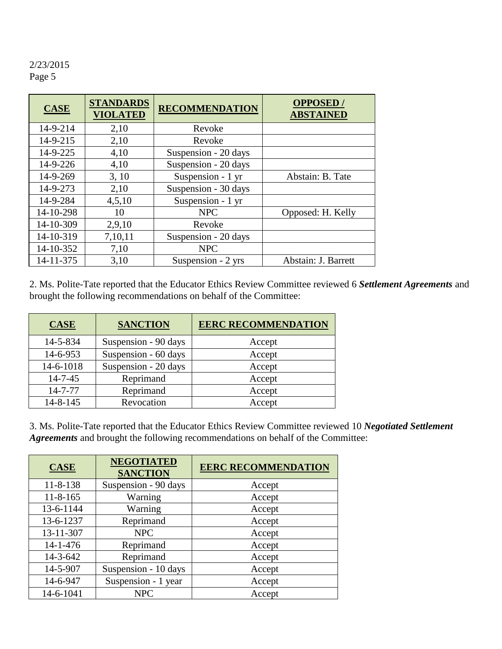| <b>CASE</b> | <b>STANDARDS</b><br><b>VIOLATED</b> | <b>RECOMMENDATION</b> | <b>OPPOSED</b> /<br><b>ABSTAINED</b> |
|-------------|-------------------------------------|-----------------------|--------------------------------------|
| 14-9-214    | 2,10                                | Revoke                |                                      |
| 14-9-215    | 2,10                                | Revoke                |                                      |
| 14-9-225    | 4,10                                | Suspension - 20 days  |                                      |
| 14-9-226    | 4,10                                | Suspension - 20 days  |                                      |
| 14-9-269    | 3, 10                               | Suspension - 1 yr     | Abstain: B. Tate                     |
| 14-9-273    | 2,10                                | Suspension - 30 days  |                                      |
| 14-9-284    | 4,5,10                              | Suspension - 1 yr     |                                      |
| 14-10-298   | 10                                  | <b>NPC</b>            | Opposed: H. Kelly                    |
| 14-10-309   | 2,9,10                              | Revoke                |                                      |
| 14-10-319   | 7,10,11                             | Suspension - 20 days  |                                      |
| 14-10-352   | 7,10                                | <b>NPC</b>            |                                      |
| 14-11-375   | 3,10                                | Suspension - 2 yrs    | Abstain: J. Barrett                  |

2. Ms. Polite-Tate reported that the Educator Ethics Review Committee reviewed 6 *Settlement Agreements* and brought the following recommendations on behalf of the Committee:

| <b>CASE</b>    | <b>SANCTION</b>      | <b>EERC RECOMMENDATION</b> |
|----------------|----------------------|----------------------------|
| 14-5-834       | Suspension - 90 days | Accept                     |
| 14-6-953       | Suspension - 60 days | Accept                     |
| 14-6-1018      | Suspension - 20 days | Accept                     |
| $14 - 7 - 45$  | Reprimand            | Accept                     |
| $14 - 7 - 77$  | Reprimand            | Accept                     |
| $14 - 8 - 145$ | Revocation           | Accept                     |

3. Ms. Polite-Tate reported that the Educator Ethics Review Committee reviewed 10 *Negotiated Settlement Agreements* and brought the following recommendations on behalf of the Committee:

| <b>CASE</b>    | <b>NEGOTIATED</b><br><b>SANCTION</b> | <b>EERC RECOMMENDATION</b> |  |  |
|----------------|--------------------------------------|----------------------------|--|--|
| $11 - 8 - 138$ | Suspension - 90 days                 | Accept                     |  |  |
| $11 - 8 - 165$ | Warning                              | Accept                     |  |  |
| 13-6-1144      | Warning                              | Accept                     |  |  |
| 13-6-1237      | Reprimand                            | Accept                     |  |  |
| 13-11-307      | <b>NPC</b>                           | Accept                     |  |  |
| $14 - 1 - 476$ | Reprimand                            | Accept                     |  |  |
| 14-3-642       | Reprimand                            | Accept                     |  |  |
| 14-5-907       | Suspension - 10 days                 | Accept                     |  |  |
| 14-6-947       | Suspension - 1 year                  | Accept                     |  |  |
| 14-6-1041      | <b>NPC</b>                           | Accept                     |  |  |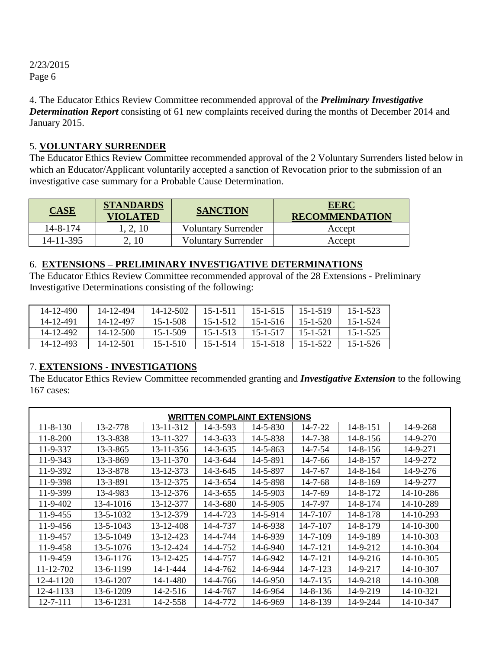4. The Educator Ethics Review Committee recommended approval of the *Preliminary Investigative Determination Report* consisting of 61 new complaints received during the months of December 2014 and January 2015.

## 5. **VOLUNTARY SURRENDER**

The Educator Ethics Review Committee recommended approval of the 2 Voluntary Surrenders listed below in which an Educator/Applicant voluntarily accepted a sanction of Revocation prior to the submission of an investigative case summary for a Probable Cause Determination.

| <b>CASE</b> | <b>STANDARDS</b><br>VIOLATED | <b>SANCTION</b>            | <b>EERC</b><br><b>RECOMMENDATION</b> |
|-------------|------------------------------|----------------------------|--------------------------------------|
| 14-8-174    | 2, 10                        | <b>Voluntary Surrender</b> | Accept                               |
| 14-11-395   |                              | <b>Voluntary Surrender</b> | Accept                               |

## 6. **EXTENSIONS – PRELIMINARY INVESTIGATIVE DETERMINATIONS**

The Educator Ethics Review Committee recommended approval of the 28 Extensions - Preliminary Investigative Determinations consisting of the following:

| 14-12-490 | 14-12-494 | 14-12-502      | $15 - 1 - 511$ | $15 - 1 - 515$ | 15-1-519 | $15 - 1 - 523$ |
|-----------|-----------|----------------|----------------|----------------|----------|----------------|
| 14-12-491 | 14-12-497 | $15 - 1 - 508$ | $15 - 1 - 512$ | $15 - 1 - 516$ | 15-1-520 | $15 - 1 - 524$ |
| 14-12-492 | 14-12-500 | $15 - 1 - 509$ | $15 - 1 - 513$ | $15 - 1 - 517$ | 15-1-521 | $15 - 1 - 525$ |
| 14-12-493 | 14-12-501 | $15 - 1 - 510$ | $15 - 1 - 514$ | 15-1-518       | 15-1-522 | $15 - 1 - 526$ |

## 7. **EXTENSIONS - INVESTIGATIONS**

The Educator Ethics Review Committee recommended granting and *Investigative Extension* to the following 167 cases:

| <b>WRITTEN COMPLAINT EXTENSIONS</b> |           |           |          |                |               |                |           |
|-------------------------------------|-----------|-----------|----------|----------------|---------------|----------------|-----------|
| $11 - 8 - 130$                      | 13-2-778  | 13-11-312 | 14-3-593 | 14-5-830       | 14-7-22       | 14-8-151       | 14-9-268  |
| $11 - 8 - 200$                      | 13-3-838  | 13-11-327 | 14-3-633 | 14-5-838       | $14 - 7 - 38$ | 14-8-156       | 14-9-270  |
| 11-9-337                            | 13-3-865  | 13-11-356 | 14-3-635 | 14-5-863       | $14 - 7 - 54$ | 14-8-156       | 14-9-271  |
| 11-9-343                            | 13-3-869  | 13-11-370 | 14-3-644 | 14-5-891       | $14 - 7 - 66$ | 14-8-157       | 14-9-272  |
| 11-9-392                            | 13-3-878  | 13-12-373 | 14-3-645 | 14-5-897       | $14 - 7 - 67$ | $14 - 8 - 164$ | 14-9-276  |
| 11-9-398                            | 13-3-891  | 13-12-375 | 14-3-654 | 14-5-898       | 14-7-68       | 14-8-169       | 14-9-277  |
| 11-9-399                            | 13-4-983  | 13-12-376 | 14-3-655 | 14-5-903       | 14-7-69       | 14-8-172       | 14-10-286 |
| 11-9-402                            | 13-4-1016 | 13-12-377 | 14-3-680 | 14-5-905       | 14-7-97       | 14-8-174       | 14-10-289 |
| 11-9-455                            | 13-5-1032 | 13-12-379 | 14-4-723 | 14-5-914       | 14-7-107      | 14-8-178       | 14-10-293 |
| 11-9-456                            | 13-5-1043 | 13-12-408 | 14-4-737 | 14-6-938       | 14-7-107      | 14-8-179       | 14-10-300 |
| 11-9-457                            | 13-5-1049 | 13-12-423 | 14-4-744 | 14-6-939       | 14-7-109      | 14-9-189       | 14-10-303 |
| 11-9-458                            | 13-5-1076 | 13-12-424 | 14-4-752 | $14 - 6 - 940$ | 14-7-121      | 14-9-212       | 14-10-304 |
| 11-9-459                            | 13-6-1176 | 13-12-425 | 14-4-757 | 14-6-942       | 14-7-121      | 14-9-216       | 14-10-305 |
| 11-12-702                           | 13-6-1199 | 14-1-444  | 14-4-762 | 14-6-944       | 14-7-123      | 14-9-217       | 14-10-307 |
| 12-4-1120                           | 13-6-1207 | 14-1-480  | 14-4-766 | 14-6-950       | 14-7-135      | 14-9-218       | 14-10-308 |
| 12-4-1133                           | 13-6-1209 | 14-2-516  | 14-4-767 | 14-6-964       | 14-8-136      | 14-9-219       | 14-10-321 |
| 12-7-111                            | 13-6-1231 | 14-2-558  | 14-4-772 | 14-6-969       | 14-8-139      | 14-9-244       | 14-10-347 |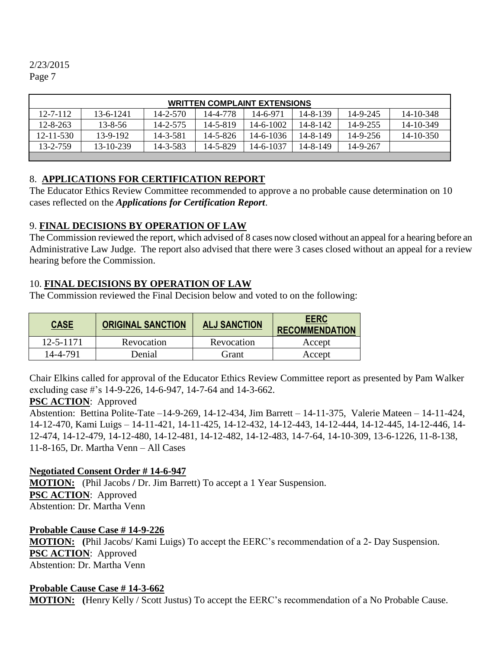| <b>WRITTEN COMPLAINT EXTENSIONS</b> |               |                |                |           |          |          |                 |
|-------------------------------------|---------------|----------------|----------------|-----------|----------|----------|-----------------|
| $12 - 7 - 112$                      | 13-6-1241     | $14 - 2 - 570$ | 14-4-778       | 14-6-971  | 14-8-139 | 14-9-245 | 14-10-348       |
| $12 - 8 - 263$                      | $13 - 8 - 56$ | 14-2-575       | $14 - 5 - 819$ | 14-6-1002 | 14-8-142 | 14-9-255 | 14-10-349       |
| $12 - 11 - 530$                     | 13-9-192      | 14-3-581       | 14-5-826       | 14-6-1036 | 14-8-149 | 14-9-256 | $14 - 10 - 350$ |
| 13-2-759                            | 13-10-239     | 14-3-583       | 14-5-829       | 14-6-1037 | 14-8-149 | 14-9-267 |                 |
|                                     |               |                |                |           |          |          |                 |

### 8. **APPLICATIONS FOR CERTIFICATION REPORT**

The Educator Ethics Review Committee recommended to approve a no probable cause determination on 10 cases reflected on the *Applications for Certification Report*.

## 9. **FINAL DECISIONS BY OPERATION OF LAW**

The Commission reviewed the report, which advised of 8 cases now closed without an appeal for a hearing before an Administrative Law Judge. The report also advised that there were 3 cases closed without an appeal for a review hearing before the Commission.

## 10. **FINAL DECISIONS BY OPERATION OF LAW**

The Commission reviewed the Final Decision below and voted to on the following:

| <b>CASE</b>     | <b>ORIGINAL SANCTION</b> | <b>ALJ SANCTION</b> | <b>EERC</b><br><b>RECOMMENDATION</b> |
|-----------------|--------------------------|---------------------|--------------------------------------|
| $12 - 5 - 1171$ | Revocation               | Revocation          | Accept                               |
| 14-4-791        | Denial                   | Grant               | Accept                               |

Chair Elkins called for approval of the Educator Ethics Review Committee report as presented by Pam Walker excluding case #'s 14-9-226, 14-6-947, 14-7-64 and 14-3-662.

## **PSC ACTION**: Approved

Abstention: Bettina Polite-Tate –14-9-269, 14-12-434, Jim Barrett – 14-11-375, Valerie Mateen – 14-11-424, 14-12-470, Kami Luigs – 14-11-421, 14-11-425, 14-12-432, 14-12-443, 14-12-444, 14-12-445, 14-12-446, 14- 12-474, 14-12-479, 14-12-480, 14-12-481, 14-12-482, 14-12-483, 14-7-64, 14-10-309, 13-6-1226, 11-8-138, 11-8-165, Dr. Martha Venn – All Cases

## **Negotiated Consent Order # 14-6-947**

**MOTION:** (Phil Jacobs **/** Dr. Jim Barrett) To accept a 1 Year Suspension. **PSC ACTION**: Approved Abstention: Dr. Martha Venn

## **Probable Cause Case # 14-9-226**

**MOTION: (**Phil Jacobs/ Kami Luigs) To accept the EERC's recommendation of a 2- Day Suspension. **PSC ACTION**: Approved Abstention: Dr. Martha Venn

## **Probable Cause Case # 14-3-662**

**MOTION: (**Henry Kelly / Scott Justus) To accept the EERC's recommendation of a No Probable Cause.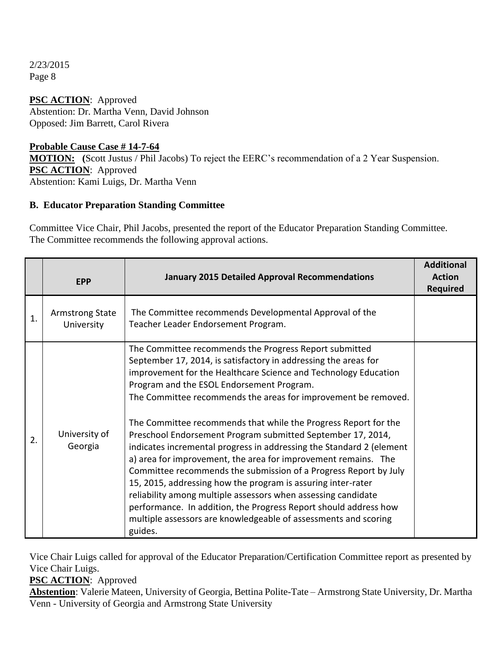**PSC ACTION**: Approved Abstention: Dr. Martha Venn, David Johnson Opposed: Jim Barrett, Carol Rivera

### **Probable Cause Case # 14-7-64**

**MOTION: (**Scott Justus / Phil Jacobs) To reject the EERC's recommendation of a 2 Year Suspension. **PSC ACTION**: Approved Abstention: Kami Luigs, Dr. Martha Venn

## **B. Educator Preparation Standing Committee**

Committee Vice Chair, Phil Jacobs, presented the report of the Educator Preparation Standing Committee. The Committee recommends the following approval actions.

|             | <b>EPP</b>                           | <b>January 2015 Detailed Approval Recommendations</b>                                                                                                                                                                                                                                                                                                                                                                                                                                                                                                                                                                                                                                                                                                                                                                                                                                                                                          | <b>Additional</b><br><b>Action</b><br><b>Required</b> |
|-------------|--------------------------------------|------------------------------------------------------------------------------------------------------------------------------------------------------------------------------------------------------------------------------------------------------------------------------------------------------------------------------------------------------------------------------------------------------------------------------------------------------------------------------------------------------------------------------------------------------------------------------------------------------------------------------------------------------------------------------------------------------------------------------------------------------------------------------------------------------------------------------------------------------------------------------------------------------------------------------------------------|-------------------------------------------------------|
| $\mathbf 1$ | <b>Armstrong State</b><br>University | The Committee recommends Developmental Approval of the<br>Teacher Leader Endorsement Program.                                                                                                                                                                                                                                                                                                                                                                                                                                                                                                                                                                                                                                                                                                                                                                                                                                                  |                                                       |
| 2.          | University of<br>Georgia             | The Committee recommends the Progress Report submitted<br>September 17, 2014, is satisfactory in addressing the areas for<br>improvement for the Healthcare Science and Technology Education<br>Program and the ESOL Endorsement Program.<br>The Committee recommends the areas for improvement be removed.<br>The Committee recommends that while the Progress Report for the<br>Preschool Endorsement Program submitted September 17, 2014,<br>indicates incremental progress in addressing the Standard 2 (element<br>a) area for improvement, the area for improvement remains. The<br>Committee recommends the submission of a Progress Report by July<br>15, 2015, addressing how the program is assuring inter-rater<br>reliability among multiple assessors when assessing candidate<br>performance. In addition, the Progress Report should address how<br>multiple assessors are knowledgeable of assessments and scoring<br>guides. |                                                       |

Vice Chair Luigs called for approval of the Educator Preparation/Certification Committee report as presented by Vice Chair Luigs.

## **PSC ACTION**: Approved

**Abstention**: Valerie Mateen, University of Georgia, Bettina Polite-Tate – Armstrong State University, Dr. Martha Venn - University of Georgia and Armstrong State University